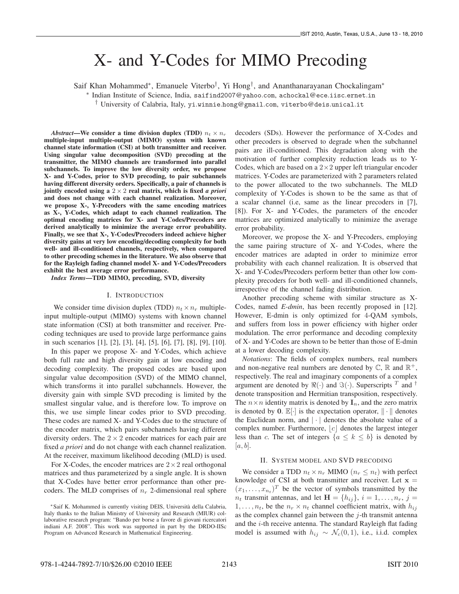# X- and Y-Codes for MIMO Precoding

Saif Khan Mohammed∗, Emanuele Viterbo†, Yi Hong†, and Ananthanarayanan Chockalingam∗

∗ Indian Institute of Science, India, saifind2007@yahoo.com, achockal@ece.iisc.ernet.in

† University of Calabria, Italy, yi.winnie.hong@gmail.com, viterbo@deis.unical.it

*Abstract*—We consider a time division duplex (TDD)  $n_t \times n_r$ multiple-input multiple-output (MIMO) system with known channel state information (CSI) at both transmitter and receiver. Using singular value decomposition (SVD) precoding at the transmitter, the MIMO channels are transformed into parallel subchannels. To improve the low diversity order, we propose X- and Y-Codes, prior to SVD precoding, to pair subchannels having different diversity orders. Specifically, a pair of channels is jointly encoded using a  $2 \times 2$  real matrix, which is fixed *a priori* and does not change with each channel realization. Moreover, we propose X-, Y-Precoders with the same encoding matrices as X-, Y-Codes, which adapt to each channel realization. The optimal encoding matrices for X- and Y-Codes/Precoders are derived analytically to minimize the average error probability. Finally, we see that X-, Y-Codes/Precoders indeed achieve higher diversity gains at very low encoding/decoding complexity for both well- and ill-conditioned channels, respectively, when compared to other precoding schemes in the literature. We also observe that for the Rayleigh fading channel model X- and Y-Codes/Precoders exhibit the best average error performance.

*Index Terms*—TDD MIMO, precoding, SVD, diversity

#### I. INTRODUCTION

We consider time division duplex (TDD)  $n_t \times n_r$  multipleinput multiple-output (MIMO) systems with known channel state information (CSI) at both transmitter and receiver. Precoding techniques are used to provide large performance gains in such scenarios [1], [2], [3], [4], [5], [6], [7], [8], [9], [10].

In this paper we propose X- and Y-Codes, which achieve both full rate and high diversity gain at low encoding and decoding complexity. The proposed codes are based upon singular value decomposition (SVD) of the MIMO channel, which transforms it into parallel subchannels. However, the diversity gain with simple SVD precoding is limited by the smallest singular value, and is therefore low. To improve on this, we use simple linear codes prior to SVD precoding. These codes are named X- and Y-Codes due to the structure of the encoder matrix, which pairs subchannels having different diversity orders. The  $2 \times 2$  encoder matrices for each pair are fixed *a priori* and do not change with each channel realization. At the receiver, maximum likelihood decoding (MLD) is used.

For X-Codes, the encoder matrices are  $2 \times 2$  real orthogonal matrices and thus parameterized by a single angle. It is shown that X-Codes have better error performance than other precoders. The MLD comprises of  $n_r$  2-dimensional real sphere decoders (SDs). However the performance of X-Codes and other precoders is observed to degrade when the subchannel pairs are ill-conditioned. This degradation along with the motivation of further complexity reduction leads us to Y-Codes, which are based on a  $2 \times 2$  upper left triangular encoder matrices. Y-Codes are parameterized with 2 parameters related to the power allocated to the two subchannels. The MLD complexity of Y-Codes is shown to be the same as that of a scalar channel (i.e, same as the linear precoders in [7], [8]). For X- and Y-Codes, the parameters of the encoder matrices are optimized analytically to minimize the average error probability.

Moreover, we propose the X- and Y-Precoders, employing the same pairing structure of X- and Y-Codes, where the encoder matrices are adapted in order to minimize error probability with each channel realization. It is observed that X- and Y-Codes/Precoders perform better than other low complexity precoders for both well- and ill-conditioned channels, irrespective of the channel fading distribution.

Another precoding scheme with similar structure as X-Codes, named *E-dmin*, has been recently proposed in [12]. However, E-dmin is only optimized for 4-QAM symbols, and suffers from loss in power efficiency with higher order modulation. The error performance and decoding complexity of X- and Y-Codes are shown to be better than those of E-dmin at a lower decoding complexity.

*Notations*: The fields of complex numbers, real numbers and non-negative real numbers are denoted by  $\mathbb{C}, \mathbb{R}$  and  $\mathbb{R}^+$ , respectively. The real and imaginary components of a complex argument are denoted by  $\Re(\cdot)$  and  $\Im(\cdot)$ . Superscripts  $^T$  and  $^{\dagger}$ denote transposition and Hermitian transposition, respectively. The  $n \times n$  identity matrix is denoted by  $\mathbf{I}_n$ , and the zero matrix is denoted by **0**.  $\mathbb{E}[\cdot]$  is the expectation operator,  $\|\cdot\|$  denotes the Euclidean norm, and  $|\cdot|$  denotes the absolute value of a complex number. Furthermore,  $|c|$  denotes the largest integer less than c. The set of integers  $\{a \leq k \leq b\}$  is denoted by  $[a, b]$ .

#### II. SYSTEM MODEL AND SVD PRECODING

We consider a TDD  $n_t \times n_r$  MIMO  $(n_r \leq n_t)$  with perfect knowledge of CSI at both transmitter and receiver. Let  $x =$  $(x_1,\ldots,x_{n_t})^T$  be the vector of symbols transmitted by the  $n_t$  transmit antennas, and let  $\mathbf{H} = \{h_{ij}\}, i = 1, \ldots, n_r, j = 1$  $1, \ldots, n_t$ , be the  $n_r \times n_t$  channel coefficient matrix, with  $h_{ij}$ as the complex channel gain between the  $j$ -th transmit antenna and the i-th receive antenna. The standard Rayleigh flat fading model is assumed with  $h_{ij} \sim \mathcal{N}_c(0, 1)$ , i.e., i.i.d. complex

<sup>∗</sup>Saif K. Mohammed is currently visiting DEIS, Universita della Calabria, ` Italy thanks to the Italian Ministry of University and Research (MIUR) collaborative research program: "Bando per borse a favore di giovani ricercatori indiani A.F. 2008". This work was supported in part by the DRDO-IISc Program on Advanced Research in Mathematical Engineering.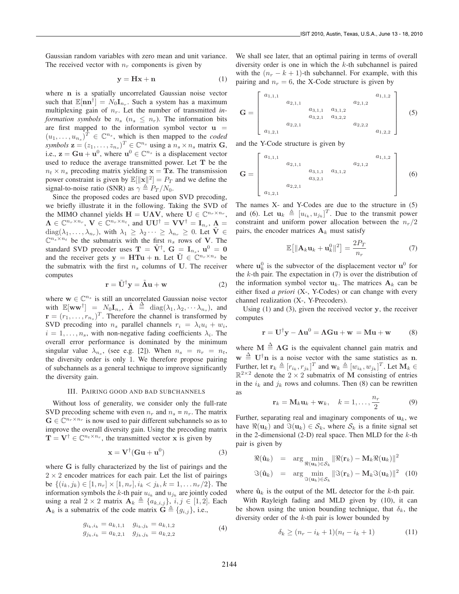Gaussian random variables with zero mean and unit variance. The received vector with  $n_r$  components is given by

$$
y = Hx + n \tag{1}
$$

where **n** is a spatially uncorrelated Gaussian noise vector such that  $\mathbb{E}[\mathbf{n}\mathbf{n}^{\dagger}] = N_0 \mathbf{I}_{n_r}$ . Such a system has a maximum multiplexing gain of  $n_r$ . Let the number of transmitted *information symbols* be  $n_s$  ( $n_s \leq n_r$ ). The information bits are first mapped to the information symbol vector  $\mathbf{u}$  =  $(u_1,\ldots,u_{n_s})^T \in \mathbb{C}^{n_s}$ , which is then mapped to the *coded symbols*  $\mathbf{z} = (z_1, \dots, z_{n_s})^T \in \mathbb{C}^{n_s}$  using a  $n_s \times n_s$  matrix  $\mathbf{G}$ , i.e.,  $z = Gu + u^0$ , where  $u^0 \in \mathbb{C}^{n_s}$  is a displacement vector used to reduce the average transmitted power. Let **T** be the  $n_t \times n_s$  precoding matrix yielding  $\mathbf{x} = \mathbf{T} \mathbf{z}$ . The transmission power constraint is given by  $\mathbb{E}[\|\mathbf{x}\|^2] = P_T$  and we define the signal-to-noise ratio (SNR) as  $\gamma \triangleq P_T / N_0$ .

Since the proposed codes are based upon SVD precoding, we briefly illustrate it in the following. Taking the SVD of the MIMO channel yields  $H = UAV$ , where  $U \in \mathbb{C}^{n_r \times n_r}$ ,  $\Lambda \in \mathbb{C}^{n_r \times n_r}$ ,  $\mathbf{V} \in \mathbb{C}^{n_r \times n_t}$ , and  $\mathbf{U} \mathbf{U}^{\dagger} = \mathbf{V} \mathbf{V}^{\dagger} = \mathbf{I}_{n_r}$ ,  $\Lambda =$  $diag(\lambda_1,\ldots,\lambda_{n_r}),$  with  $\lambda_1 \geq \lambda_2 \cdots \geq \lambda_{n_r} \geq 0$ . Let  $\tilde{\mathbf{V}} \in$  $\mathbb{C}^{n_s \times n_t}$  be the submatrix with the first  $n_s$  rows of **V**. The standard SVD precoder uses  $\mathbf{T} = \tilde{\mathbf{V}}^{\dagger}$ ,  $\mathbf{G} = \mathbf{I}_{n_s}$ ,  $\mathbf{u}^0 = \mathbf{0}$ and the receiver gets  $y = HTu + n$ . Let  $\tilde{U} \in \mathbb{C}^{n_r \times n_s}$  be the submatrix with the first  $n_s$  columns of U. The receiver computes

$$
\mathbf{r} = \tilde{\mathbf{U}}^{\dagger} \mathbf{y} = \tilde{\mathbf{\Lambda}} \mathbf{u} + \mathbf{w} \tag{2}
$$

where  $\mathbf{w} \in \mathbb{C}^{n_s}$  is still an uncorrelated Gaussian noise vector with  $\mathbb{E}[\mathbf{w}\mathbf{w}^{\dagger}] = N_0 \mathbf{I}_{n_s}$ ,  $\tilde{\mathbf{\Lambda}} \triangleq \text{diag}(\lambda_1, \lambda_2, \cdots, \lambda_{n_s}),$  and  $\mathbf{r} = (r_1, \ldots, r_{n_s})^T$ . Therefore the channel is transformed by SVD precoding into  $n_s$  parallel channels  $r_i = \lambda_i u_i + w_i$ ,  $i = 1, \ldots, n_s$ , with non-negative fading coefficients  $\lambda_i$ . The overall error performance is dominated by the minimum singular value  $\lambda_{n_s}$ , (see e.g. [2]). When  $n_s = n_r = n_t$ , the diversity order is only 1. We therefore propose pairing of subchannels as a general technique to improve significantly the diversity gain.

#### III. PAIRING GOOD AND BAD SUBCHANNELS

Without loss of generality, we consider only the full-rate SVD precoding scheme with even  $n_r$  and  $n_s = n_r$ . The matrix  $\mathbf{G} \in \mathbb{C}^{n_r \times n_r}$  is now used to pair different subchannels so as to improve the overall diversity gain. Using the precoding matrix  $\mathbf{T} = \mathbf{V}^{\dagger} \in \mathbb{C}^{n_t \times n_r}$ , the transmitted vector **x** is given by

$$
\mathbf{x} = \mathbf{V}^{\dagger}(\mathbf{G}\mathbf{u} + \mathbf{u}^0) \tag{3}
$$

where **G** is fully characterized by the list of pairings and the  $2 \times 2$  encoder matrices for each pair. Let the list of pairings be  $\{(i_k, j_k) \in [1, n_r] \times [1, n_r], i_k < j_k, k = 1, \ldots n_r/2\}$ . The information symbols the k-th pair  $u_{i_k}$  and  $u_{j_k}$  are jointly coded using a real  $2 \times 2$  matrix  $\mathbf{A}_k \triangleq \{a_{k,i,j}\}, i, j \in [1, 2]$ . Each  $\mathbf{A}_k$  is a submatrix of the code matrix  $\mathbf{G} \triangleq \{g_{i,j}\}\,$ , i.e.,

$$
g_{i_k,i_k} = a_{k,1,1} \t g_{i_k,j_k} = a_{k,1,2}
$$
  
\n
$$
g_{j_k,i_k} = a_{k,2,1} \t g_{j_k,j_k} = a_{k,2,2}
$$
\n(4)

We shall see later, that an optimal pairing in terms of overall diversity order is one in which the  $k$ -th subchannel is paired with the  $(n_r - k + 1)$ -th subchannel. For example, with this pairing and  $n_r = 6$ , the X-Code structure is given by

$$
\mathbf{G} = \begin{bmatrix} a_{1,1,1} & a_{2,1,1} & a_{1,1,2} \\ a_{2,1,1} & a_{3,1,1} & a_{2,1,2} \\ a_{3,2,1} & a_{3,2,2} & a_{3,2,2} \\ a_{1,2,1} & a_{1,2,1} & a_{1,2,2} \end{bmatrix}
$$
 (5)

and the Y-Code structure is given by

$$
\mathbf{G} = \begin{bmatrix} a_{1,1,1} & a_{2,1,1} & a_{1,1,2} \\ a_{2,1,1} & a_{3,1,1} & a_{3,1,2} \\ a_{3,2,1} & a_{3,2,1} & a_{3,2,2} \end{bmatrix}
$$
 (6)

The names X- and Y-Codes are due to the structure in (5) and (6). Let  $\mathbf{u}_k \triangleq [u_{i_k}, u_{j_k}]^T$ . Due to the transmit power constraint and uniform power allocation between the  $n_r/2$ pairs, the encoder matrices  $A_k$  must satisfy

$$
\mathbb{E}\left[\|\mathbf{A}_k\mathbf{u}_k+\mathbf{u}_k^0\|^2\right] = \frac{2P_T}{n_r} \tag{7}
$$

where  $\mathbf{u}_k^0$  is the subvector of the displacement vector  $\mathbf{u}^0$  for the  $k$ -th pair. The expectation in  $(7)$  is over the distribution of the information symbol vector  $\mathbf{u}_k$ . The matrices  $\mathbf{A}_k$  can be either fixed *a priori* (X-, Y-Codes) or can change with every channel realization (X-, Y-Precoders).

Using (1) and (3), given the received vector **y**, the receiver computes

$$
\mathbf{r} = \mathbf{U}^{\dagger}\mathbf{y} - \mathbf{\Lambda}\mathbf{u}^0 = \mathbf{\Lambda}\mathbf{G}\mathbf{u} + \mathbf{w} = \mathbf{M}\mathbf{u} + \mathbf{w} \tag{8}
$$

where  $M \triangleq \Lambda G$  is the equivalent channel gain matrix and  $\mathbf{w} \triangleq \mathbf{U}^{\dagger} \mathbf{n}$  is a noise vector with the same statistics as **n**. Further, let  $\mathbf{r}_k \triangleq [r_{i_k}, r_{j_k}]^T$  and  $\mathbf{w}_k \triangleq [w_{i_k}, w_{j_k}]^T$ . Let  $\mathbf{M}_k \in$  $\mathbb{R}^{2 \times 2}$  denote the 2 × 2 submatrix of M consisting of entries in the  $i_k$  and  $j_k$  rows and columns. Then (8) can be rewritten as

$$
\mathbf{r}_k = \mathbf{M}_k \mathbf{u}_k + \mathbf{w}_k, \quad k = 1, \dots, \frac{n_r}{2}
$$
 (9)

Further, separating real and imaginary components of  $\mathbf{u}_k$ , we have  $\Re(\mathbf{u}_k)$  and  $\Im(\mathbf{u}_k) \in S_k$ , where  $S_k$  is a finite signal set in the 2-dimensional  $(2-D)$  real space. Then MLD for the k-th pair is given by

$$
\Re(\hat{\mathbf{u}}_k) = \arg \min_{\Re(\mathbf{u}_k) \in \mathcal{S}_k} \|\Re(\mathbf{r}_k) - \mathbf{M}_k \Re(\mathbf{u}_k)\|^2
$$
  

$$
\Im(\hat{\mathbf{u}}_k) = \arg \min_{\Im(\mathbf{u}_k) \in \mathcal{S}_k} \|\Im(\mathbf{r}_k) - \mathbf{M}_k \Im(\mathbf{u}_k)\|^2 \quad (10)
$$

where  $\hat{\mathbf{u}}_k$  is the output of the ML detector for the k-th pair.

With Rayleigh fading and MLD given by (10), it can be shown using the union bounding technique, that  $\delta_k$ , the diversity order of the  $k$ -th pair is lower bounded by

$$
\delta_k \ge (n_r - i_k + 1)(n_t - i_k + 1) \tag{11}
$$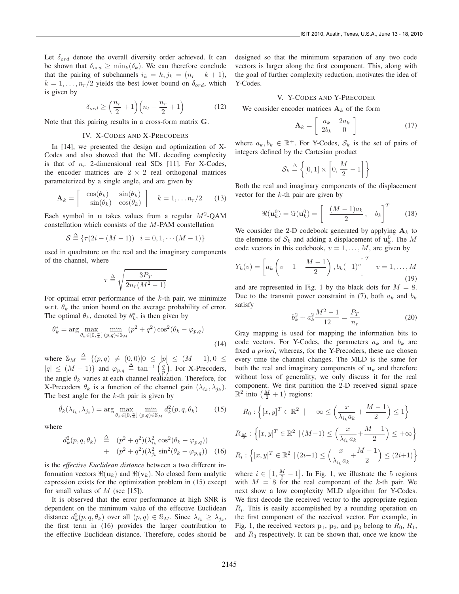Let  $\delta_{ord}$  denote the overall diversity order achieved. It can be shown that  $\delta_{ord} \ge \min_k(\delta_k)$ . We can therefore conclude that the pairing of subchannels  $i_k = k$ ,  $j_k = (n_r - k + 1)$ ,  $k = 1, \ldots, n_r/2$  yields the best lower bound on  $\delta_{ord}$ , which is given by

$$
\delta_{ord} \ge \left(\frac{n_r}{2} + 1\right) \left(n_t - \frac{n_r}{2} + 1\right) \tag{12}
$$

Note that this pairing results in a cross-form matrix **G**.

### IV. X-CODES AND X-PRECODERS

In [14], we presented the design and optimization of X-Codes and also showed that the ML decoding complexity is that of  $n_r$  2-dimensional real SDs [11]. For X-Codes, the encoder matrices are  $2 \times 2$  real orthogonal matrices parameterized by a single angle, and are given by

$$
\mathbf{A}_k = \begin{bmatrix} \cos(\theta_k) & \sin(\theta_k) \\ -\sin(\theta_k) & \cos(\theta_k) \end{bmatrix} \quad k = 1, \dots n_r/2 \quad (13)
$$

Each symbol in **u** takes values from a regular  $M^2$ -QAM constellation which consists of the M-PAM constellation

$$
S \stackrel{\Delta}{=} \{ \tau(2i - (M - 1)) \ \vert i = 0, 1, \cdots (M - 1) \}
$$

used in quadrature on the real and the imaginary components of the channel, where

$$
\tau \stackrel{\Delta}{=} \sqrt{\frac{3P_T}{2n_r(M^2-1)}}
$$

For optimal error performance of the  $k$ -th pair, we minimize w.r.t.  $\theta_k$  the union bound on the average probability of error. The optimal  $\theta_k$ , denoted by  $\theta_k^*$ , is then given by

$$
\theta_k^* = \arg\max_{\theta_k \in [0, \frac{\pi}{4}]} \min_{(p,q) \in \mathbb{S}_M} (p^2 + q^2) \cos^2(\theta_k - \varphi_{p,q})
$$
\n(14)

where  $\mathbb{S}_M \triangleq \{ (p,q) \neq (0,0) | 0 \leq |p| \leq (M-1), 0 \leq$  $|q| \leq (M-1)$ } and  $\varphi_{p,q} \triangleq \tan^{-1}\left(\frac{q}{p}\right)$ . For X-Precoders, the angle  $\theta_k$  varies at each channel realization. Therefore, for X-Precoders  $\theta_k$  is a function of the channel gain  $(\lambda_{i_k}, \lambda_{j_k})$ . The best angle for the  $k$ -th pair is given by

$$
\tilde{\theta}_k(\lambda_{i_k}, \lambda_{j_k}) = \arg \max_{\theta_k \in [0, \frac{\pi}{4}]} \min_{(p,q) \in \mathbb{S}_M} d_k^2(p, q, \theta_k)
$$
(15)

where

$$
d_k^2(p, q, \theta_k) \stackrel{\Delta}{=} (p^2 + q^2)(\lambda_{i_k}^2 \cos^2(\theta_k - \varphi_{p,q})) + (p^2 + q^2)(\lambda_{j_k}^2 \sin^2(\theta_k - \varphi_{p,q}))
$$
 (16)

is the *effective Euclidean distance* between a two different information vectors  $\Re(\mathbf{u}_k)$  and  $\Re(\mathbf{v}_k)$ . No closed form analytic expression exists for the optimization problem in (15) except for small values of  $M$  (see [15]).

It is observed that the error performance at high SNR is dependent on the minimum value of the effective Euclidean distance  $d_k^2(p, q, \theta_k)$  over all  $(p, q) \in \mathbb{S}_M$ . Since  $\lambda_{i_k} \geq \lambda_{j_k}$ , the first term in (16) provides the larger contribution to the effective Euclidean distance. Therefore, codes should be designed so that the minimum separation of any two code vectors is larger along the first component. This, along with the goal of further complexity reduction, motivates the idea of Y-Codes.

# V. Y-CODES AND Y-PRECODER

We consider encoder matrices  $A_k$  of the form

$$
\mathbf{A}_k = \left[ \begin{array}{cc} a_k & 2a_k \\ 2b_k & 0 \end{array} \right] \tag{17}
$$

where  $a_k, b_k \in \mathbb{R}^+$ . For Y-Codes,  $\mathcal{S}_k$  is the set of pairs of integers defined by the Cartesian product

$$
\mathcal{S}_k \stackrel{\Delta}{=} \left\{ [0,1] \times \left[ 0, \frac{M}{2} - 1 \right] \right\}
$$

Both the real and imaginary components of the displacement vector for the  $k$ -th pair are given by

$$
\Re(\mathbf{u}_k^0) = \Im(\mathbf{u}_k^0) = \left[ -\frac{(M-1)a_k}{2}, -b_k \right]^T \tag{18}
$$

We consider the 2-D codebook generated by applying  $A_k$  to the elements of  $S_k$  and adding a displacement of  $\mathbf{u}_k^0$ . The M code vectors in this codebook,  $v = 1, \ldots, M$ , are given by

$$
Y_k(v) = \left[a_k\left(v - 1 - \frac{M-1}{2}\right), b_k(-1)^v\right]^T \quad v = 1, ..., M
$$
\n(19)

and are represented in Fig. 1 by the black dots for  $M = 8$ . Due to the transmit power constraint in (7), both  $a_k$  and  $b_k$ satisfy

$$
b_k^2 + a_k^2 \frac{M^2 - 1}{12} = \frac{P_T}{n_r}
$$
 (20)

Gray mapping is used for mapping the information bits to code vectors. For Y-Codes, the parameters  $a_k$  and  $b_k$  are fixed *a priori*, whereas, for the Y-Precoders, these are chosen every time the channel changes. The MLD is the same for both the real and imaginary components of  $\mathbf{u}_k$  and therefore without loss of generality, we only discuss it for the real component. We first partition the 2-D received signal space  $\mathbb{R}^2$  into  $\left(\frac{M}{2} + 1\right)$  regions:

$$
R_0: \left\{ [x, y]^T \in \mathbb{R}^2 \mid -\infty \le \left( \frac{x}{\lambda_{i_k} a_k} + \frac{M-1}{2} \right) \le 1 \right\}
$$
  

$$
R_{\frac{M}{2}}: \left\{ [x, y]^T \in \mathbb{R}^2 \mid (M-1) \le \left( \frac{x}{\lambda_{i_k} a_k} + \frac{M-1}{2} \right) \le +\infty \right\}
$$
  

$$
R_i: \left\{ [x, y]^T \in \mathbb{R}^2 \mid (2i-1) \le \left( \frac{x}{\lambda_{i_k} a_k} + \frac{M-1}{2} \right) \le (2i+1) \right\}
$$

where  $i \in [1, \frac{M}{2} - 1]$ . In Fig. 1, we illustrate the 5 regions with  $M = 8$  for the real component of the k-th pair. We next show a low complexity MLD algorithm for Y-Codes. We first decode the received vector to the appropriate region  $R<sub>i</sub>$ . This is easily accomplished by a rounding operation on the first component of the received vector. For example, in Fig. 1, the received vectors  $\mathbf{p}_1$ ,  $\mathbf{p}_2$ , and  $\mathbf{p}_3$  belong to  $R_0$ ,  $R_1$ , and  $R_3$  respectively. It can be shown that, once we know the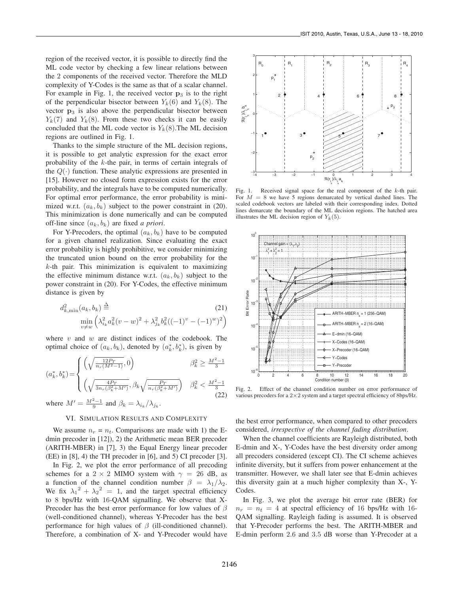region of the received vector, it is possible to directly find the ML code vector by checking a few linear relations between the 2 components of the received vector. Therefore the MLD complexity of Y-Codes is the same as that of a scalar channel. For example in Fig. 1, the received vector **p**<sup>3</sup> is to the right of the perpendicular bisector between  $Y_k(6)$  and  $Y_k(8)$ . The vector **p**<sub>3</sub> is also above the perpendicular bisector between  $Y_k(7)$  and  $Y_k(8)$ . From these two checks it can be easily concluded that the ML code vector is  $Y_k(8)$ . The ML decision regions are outlined in Fig. 1.

Thanks to the simple structure of the ML decision regions, it is possible to get analytic expression for the exact error probability of the  $k$ -the pair, in terms of certain integrals of the  $Q(\cdot)$  function. These analytic expressions are presented in [15]. However no closed form expression exists for the error probability, and the integrals have to be computed numerically. For optimal error performance, the error probability is minimized w.r.t.  $(a_k, b_k)$  subject to the power constraint in (20). This minimization is done numerically and can be computed off-line since  $(a_k, b_k)$  are fixed *a priori*.

For Y-Precoders, the optimal  $(a_k, b_k)$  have to be computed for a given channel realization. Since evaluating the exact error probability is highly prohibitive, we consider minimizing the truncated union bound on the error probability for the  $k$ -th pair. This minimization is equivalent to maximizing the effective minimum distance w.r.t.  $(a_k, b_k)$  subject to the power constraint in (20). For Y-Codes, the effective minimum distance is given by

$$
d_{k,\min}^2(a_k, b_k) \stackrel{\Delta}{=} \min_{v \neq w} \left( \lambda_{i_k}^2 a_k^2 (v - w)^2 + \lambda_{j_k}^2 b_k^2 ((-1)^v - (-1)^w)^2 \right)
$$

where  $v$  and  $w$  are distinct indices of the codebook. The optimal choice of  $(a_k, b_k)$ , denoted by  $(a_k^*, b_k^*)$ , is given by

$$
(a_k^*, b_k^*) = \begin{cases} \left(\sqrt{\frac{12P_T}{n_r(M^2-1)}}, 0\right) & \beta_k^2 \ge \frac{M^2-1}{3} \\ \left(\sqrt{\frac{4P_T}{3n_r(\beta_k^2+M')}}, \beta_k \sqrt{\frac{P_T}{n_r(\beta_k^2+M')}}\right) & \beta_k^2 < \frac{M^2-1}{3} \end{cases}
$$

where  $M' = \frac{M^2 - 1}{9}$  and  $\beta_k = \lambda_{i_k} / \lambda_{j_k}$ .

# VI. SIMULATION RESULTS AND COMPLEXITY

We assume  $n_r = n_t$ . Comparisons are made with 1) the Edmin precoder in [12]), 2) the Arithmetic mean BER precoder (ARITH-MBER) in [7], 3) the Equal Energy linear precoder (EE) in [8], 4) the TH precoder in [6], and 5) CI precoder [3].

In Fig. 2, we plot the error performance of all precoding schemes for a 2 × 2 MIMO system with  $\gamma = 26$  dB, as a function of the channel condition number  $\beta = \lambda_1/\lambda_2$ . We fix  $\lambda_1^2 + \lambda_2^2 = 1$ , and the target spectral efficiency to 8 bps/Hz with 16-QAM signalling. We observe that X-Precoder has the best error performance for low values of  $\beta$ (well-conditioned channel), whereas Y-Precoder has the best performance for high values of  $\beta$  (ill-conditioned channel). Therefore, a combination of X- and Y-Precoder would have



Fig. 1. Received signal space for the real component of the k-th pair. For  $M = 8$  we have 5 regions demarcated by vertical dashed lines. The scaled codebook vectors are labeled with their corresponding index. Dotted lines demarcate the boundary of the ML decision regions. The hatched area illustrates the ML decision region of  $Y_k(5)$ .



Fig. 2. Effect of the channel condition number on error performance of various precoders for a 2×2 system and a target spectral efficiency of 8bps/Hz.

the best error performance, when compared to other precoders considered, *irrespective of the channel fading distribution*.

When the channel coefficients are Rayleigh distributed, both E-dmin and X-, Y-Codes have the best diversity order among all precoders considered (except CI). The CI scheme achieves infinite diversity, but it suffers from power enhancement at the transmitter. However, we shall later see that E-dmin achieves this diversity gain at a much higher complexity than X-, Y-Codes.

In Fig. 3, we plot the average bit error rate (BER) for  $n_r = n_t = 4$  at spectral efficiency of 16 bps/Hz with 16-QAM signalling. Rayleigh fading is assumed. It is observed that Y-Precoder performs the best. The ARITH-MBER and E-dmin perform 2.6 and 3.5 dB worse than Y-Precoder at a